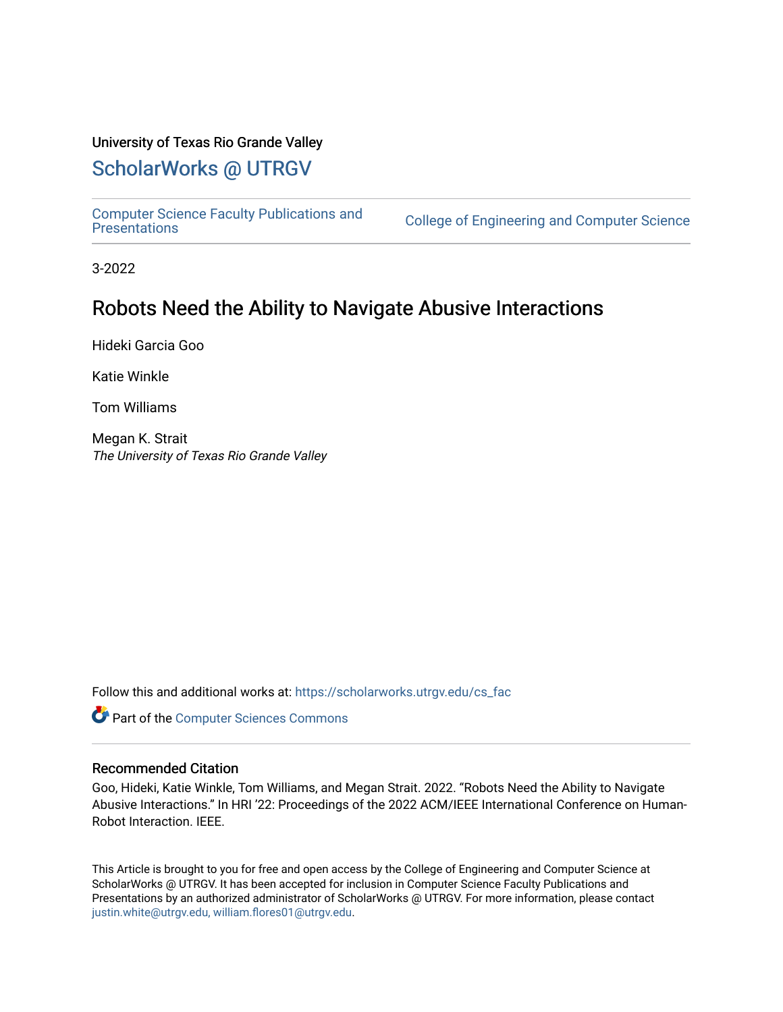## University of Texas Rio Grande Valley

## [ScholarWorks @ UTRGV](https://scholarworks.utrgv.edu/)

[Computer Science Faculty Publications and](https://scholarworks.utrgv.edu/cs_fac) 

College of Engineering and Computer Science

3-2022

# Robots Need the Ability to Navigate Abusive Interactions

Hideki Garcia Goo

Katie Winkle

Tom Williams

Megan K. Strait The University of Texas Rio Grande Valley

Follow this and additional works at: [https://scholarworks.utrgv.edu/cs\\_fac](https://scholarworks.utrgv.edu/cs_fac?utm_source=scholarworks.utrgv.edu%2Fcs_fac%2F92&utm_medium=PDF&utm_campaign=PDFCoverPages) 

Part of the [Computer Sciences Commons](http://network.bepress.com/hgg/discipline/142?utm_source=scholarworks.utrgv.edu%2Fcs_fac%2F92&utm_medium=PDF&utm_campaign=PDFCoverPages)

### Recommended Citation

Goo, Hideki, Katie Winkle, Tom Williams, and Megan Strait. 2022. "Robots Need the Ability to Navigate Abusive Interactions." In HRI '22: Proceedings of the 2022 ACM/IEEE International Conference on Human-Robot Interaction. IEEE.

This Article is brought to you for free and open access by the College of Engineering and Computer Science at ScholarWorks @ UTRGV. It has been accepted for inclusion in Computer Science Faculty Publications and Presentations by an authorized administrator of ScholarWorks @ UTRGV. For more information, please contact [justin.white@utrgv.edu, william.flores01@utrgv.edu](mailto:justin.white@utrgv.edu,%20william.flores01@utrgv.edu).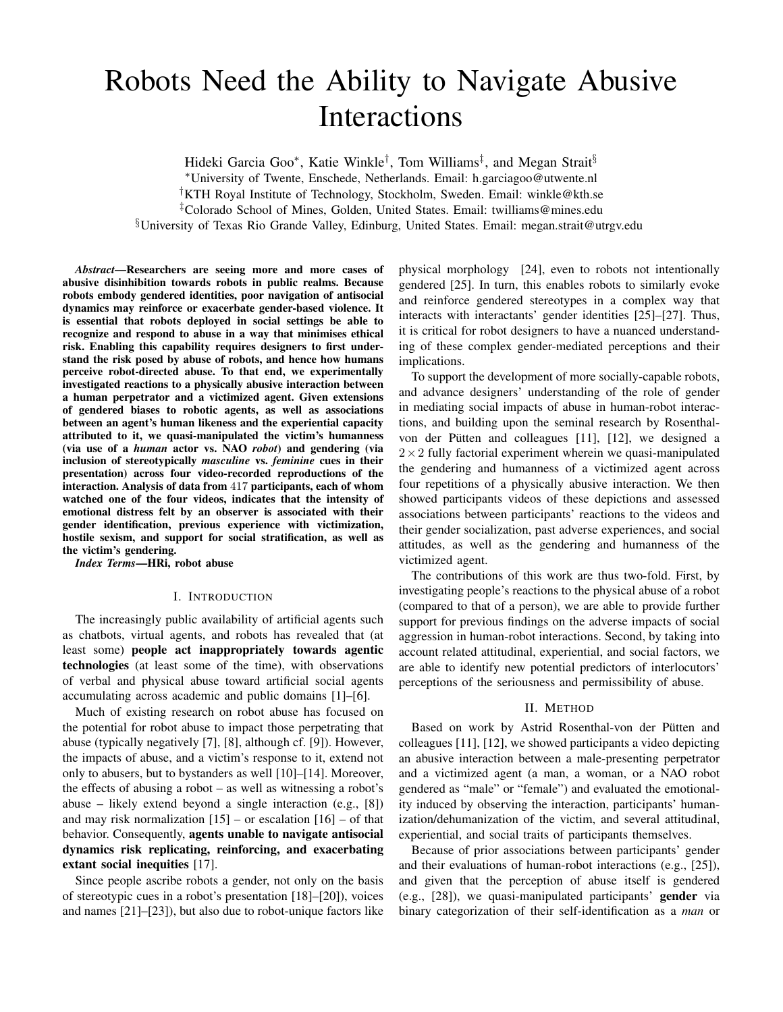# Robots Need the Ability to Navigate Abusive Interactions

Hideki Garcia Goo\*, Katie Winkle<sup>†</sup>, Tom Williams<sup>‡</sup>, and Megan Strait<sup>§</sup> <sup>∗</sup>University of Twente, Enschede, Netherlands. Email: h.garciagoo@utwente.nl †KTH Royal Institute of Technology, Stockholm, Sweden. Email: winkle@kth.se ‡Colorado School of Mines, Golden, United States. Email: twilliams@mines.edu §University of Texas Rio Grande Valley, Edinburg, United States. Email: megan.strait@utrgv.edu

*Abstract*—Researchers are seeing more and more cases of abusive disinhibition towards robots in public realms. Because robots embody gendered identities, poor navigation of antisocial dynamics may reinforce or exacerbate gender-based violence. It is essential that robots deployed in social settings be able to recognize and respond to abuse in a way that minimises ethical risk. Enabling this capability requires designers to first understand the risk posed by abuse of robots, and hence how humans perceive robot-directed abuse. To that end, we experimentally investigated reactions to a physically abusive interaction between a human perpetrator and a victimized agent. Given extensions of gendered biases to robotic agents, as well as associations between an agent's human likeness and the experiential capacity attributed to it, we quasi-manipulated the victim's humanness (via use of a *human* actor vs. NAO *robot*) and gendering (via inclusion of stereotypically *masculine* vs. *feminine* cues in their presentation) across four video-recorded reproductions of the interaction. Analysis of data from 417 participants, each of whom watched one of the four videos, indicates that the intensity of emotional distress felt by an observer is associated with their gender identification, previous experience with victimization, hostile sexism, and support for social stratification, as well as the victim's gendering.

*Index Terms*—HRi, robot abuse

#### I. INTRODUCTION

The increasingly public availability of artificial agents such as chatbots, virtual agents, and robots has revealed that (at least some) people act inappropriately towards agentic technologies (at least some of the time), with observations of verbal and physical abuse toward artificial social agents accumulating across academic and public domains [1]–[6].

Much of existing research on robot abuse has focused on the potential for robot abuse to impact those perpetrating that abuse (typically negatively [7], [8], although cf. [9]). However, the impacts of abuse, and a victim's response to it, extend not only to abusers, but to bystanders as well [10]–[14]. Moreover, the effects of abusing a robot – as well as witnessing a robot's abuse – likely extend beyond a single interaction (e.g., [8]) and may risk normalization  $[15]$  – or escalation  $[16]$  – of that behavior. Consequently, agents unable to navigate antisocial dynamics risk replicating, reinforcing, and exacerbating extant social inequities [17].

Since people ascribe robots a gender, not only on the basis of stereotypic cues in a robot's presentation [18]–[20]), voices and names [21]–[23]), but also due to robot-unique factors like physical morphology [24], even to robots not intentionally gendered [25]. In turn, this enables robots to similarly evoke and reinforce gendered stereotypes in a complex way that interacts with interactants' gender identities [25]–[27]. Thus, it is critical for robot designers to have a nuanced understanding of these complex gender-mediated perceptions and their implications.

To support the development of more socially-capable robots, and advance designers' understanding of the role of gender in mediating social impacts of abuse in human-robot interactions, and building upon the seminal research by Rosenthalvon der Pütten and colleagues [11], [12], we designed a  $2\times2$  fully factorial experiment wherein we quasi-manipulated the gendering and humanness of a victimized agent across four repetitions of a physically abusive interaction. We then showed participants videos of these depictions and assessed associations between participants' reactions to the videos and their gender socialization, past adverse experiences, and social attitudes, as well as the gendering and humanness of the victimized agent.

The contributions of this work are thus two-fold. First, by investigating people's reactions to the physical abuse of a robot (compared to that of a person), we are able to provide further support for previous findings on the adverse impacts of social aggression in human-robot interactions. Second, by taking into account related attitudinal, experiential, and social factors, we are able to identify new potential predictors of interlocutors' perceptions of the seriousness and permissibility of abuse.

#### II. METHOD

Based on work by Astrid Rosenthal-von der Pütten and colleagues [11], [12], we showed participants a video depicting an abusive interaction between a male-presenting perpetrator and a victimized agent (a man, a woman, or a NAO robot gendered as "male" or "female") and evaluated the emotionality induced by observing the interaction, participants' humanization/dehumanization of the victim, and several attitudinal, experiential, and social traits of participants themselves.

Because of prior associations between participants' gender and their evaluations of human-robot interactions (e.g., [25]), and given that the perception of abuse itself is gendered (e.g., [28]), we quasi-manipulated participants' gender via binary categorization of their self-identification as a *man* or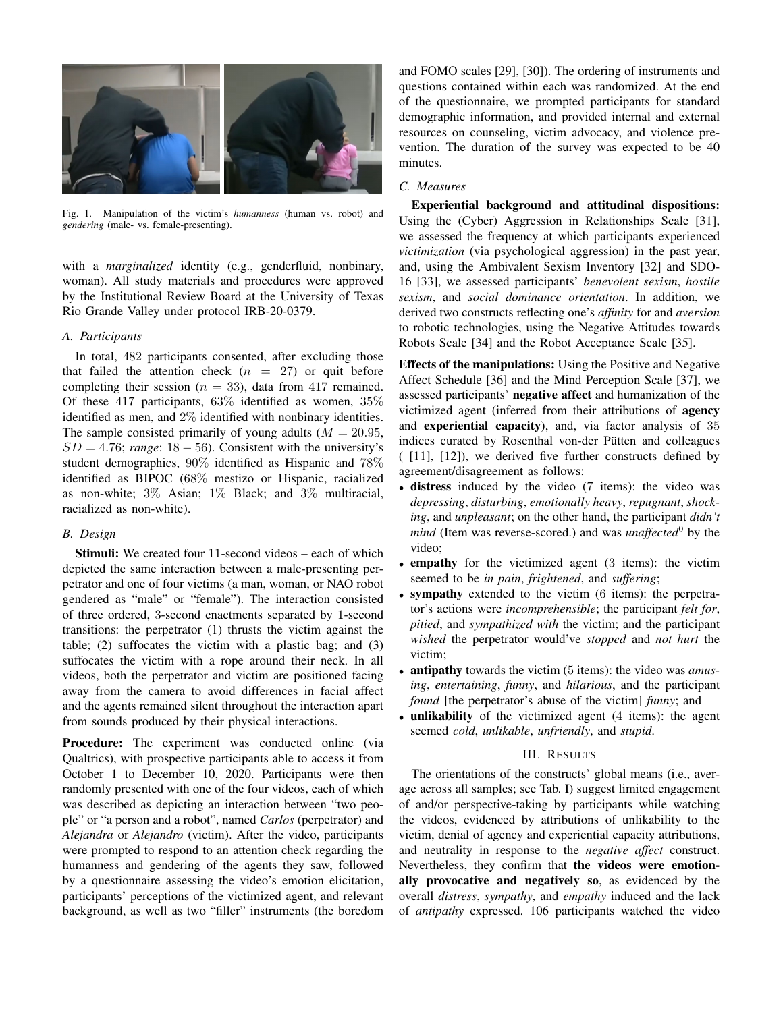

Fig. 1. Manipulation of the victim's *humanness* (human vs. robot) and *gendering* (male- vs. female-presenting).

with a *marginalized* identity (e.g., genderfluid, nonbinary, woman). All study materials and procedures were approved by the Institutional Review Board at the University of Texas Rio Grande Valley under protocol IRB-20-0379.

#### *A. Participants*

In total, 482 participants consented, after excluding those that failed the attention check  $(n = 27)$  or quit before completing their session ( $n = 33$ ), data from 417 remained. Of these 417 participants,  $63\%$  identified as women,  $35\%$ identified as men, and 2% identified with nonbinary identities. The sample consisted primarily of young adults ( $M = 20.95$ ,  $SD = 4.76$ ; *range*:  $18 - 56$ ). Consistent with the university's student demographics, 90% identified as Hispanic and 78% identified as BIPOC (68% mestizo or Hispanic, racialized as non-white; 3% Asian; 1% Black; and 3% multiracial, racialized as non-white).

#### *B. Design*

Stimuli: We created four 11-second videos – each of which depicted the same interaction between a male-presenting perpetrator and one of four victims (a man, woman, or NAO robot gendered as "male" or "female"). The interaction consisted of three ordered, 3-second enactments separated by 1-second transitions: the perpetrator (1) thrusts the victim against the table; (2) suffocates the victim with a plastic bag; and (3) suffocates the victim with a rope around their neck. In all videos, both the perpetrator and victim are positioned facing away from the camera to avoid differences in facial affect and the agents remained silent throughout the interaction apart from sounds produced by their physical interactions.

Procedure: The experiment was conducted online (via Qualtrics), with prospective participants able to access it from October 1 to December 10, 2020. Participants were then randomly presented with one of the four videos, each of which was described as depicting an interaction between "two people" or "a person and a robot", named *Carlos* (perpetrator) and *Alejandra* or *Alejandro* (victim). After the video, participants were prompted to respond to an attention check regarding the humanness and gendering of the agents they saw, followed by a questionnaire assessing the video's emotion elicitation, participants' perceptions of the victimized agent, and relevant background, as well as two "filler" instruments (the boredom

and FOMO scales [29], [30]). The ordering of instruments and questions contained within each was randomized. At the end of the questionnaire, we prompted participants for standard demographic information, and provided internal and external resources on counseling, victim advocacy, and violence prevention. The duration of the survey was expected to be 40 minutes.

#### *C. Measures*

Experiential background and attitudinal dispositions: Using the (Cyber) Aggression in Relationships Scale [31], we assessed the frequency at which participants experienced *victimization* (via psychological aggression) in the past year, and, using the Ambivalent Sexism Inventory [32] and SDO-16 [33], we assessed participants' *benevolent sexism*, *hostile sexism*, and *social dominance orientation*. In addition, we derived two constructs reflecting one's *affinity* for and *aversion* to robotic technologies, using the Negative Attitudes towards Robots Scale [34] and the Robot Acceptance Scale [35].

Effects of the manipulations: Using the Positive and Negative Affect Schedule [36] and the Mind Perception Scale [37], we assessed participants' negative affect and humanization of the victimized agent (inferred from their attributions of agency and experiential capacity), and, via factor analysis of 35 indices curated by Rosenthal von-der Pütten and colleagues ( [11], [12]), we derived five further constructs defined by agreement/disagreement as follows:

- distress induced by the video (7 items): the video was *depressing*, *disturbing*, *emotionally heavy*, *repugnant*, *shocking*, and *unpleasant*; on the other hand, the participant *didn't mind* (Item was reverse-scored.) and was *unaffected*<sup>0</sup> by the video;
- empathy for the victimized agent (3 items): the victim seemed to be *in pain*, *frightened*, and *suffering*;
- sympathy extended to the victim (6 items): the perpetrator's actions were *incomprehensible*; the participant *felt for*, *pitied*, and *sympathized with* the victim; and the participant *wished* the perpetrator would've *stopped* and *not hurt* the victim;
- antipathy towards the victim (5 items): the video was *amusing*, *entertaining*, *funny*, and *hilarious*, and the participant *found* [the perpetrator's abuse of the victim] *funny*; and
- unlikability of the victimized agent (4 items): the agent seemed *cold*, *unlikable*, *unfriendly*, and *stupid*.

#### III. RESULTS

The orientations of the constructs' global means (i.e., average across all samples; see Tab. I) suggest limited engagement of and/or perspective-taking by participants while watching the videos, evidenced by attributions of unlikability to the victim, denial of agency and experiential capacity attributions, and neutrality in response to the *negative affect* construct. Nevertheless, they confirm that the videos were emotionally provocative and negatively so, as evidenced by the overall *distress*, *sympathy*, and *empathy* induced and the lack of *antipathy* expressed. 106 participants watched the video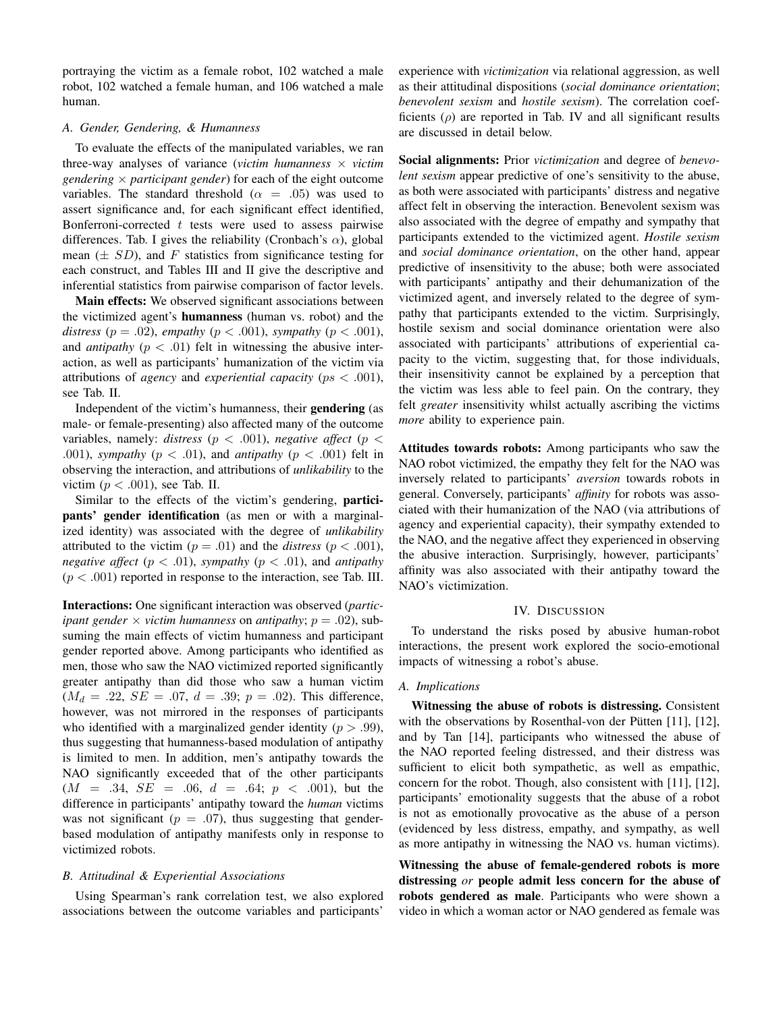portraying the victim as a female robot, 102 watched a male robot, 102 watched a female human, and 106 watched a male human.

#### *A. Gender, Gendering, & Humanness*

To evaluate the effects of the manipulated variables, we ran three-way analyses of variance (*victim humanness*  $\times$  *victim gendering*  $\times$  *participant gender*) for each of the eight outcome variables. The standard threshold ( $\alpha = .05$ ) was used to assert significance and, for each significant effect identified, Bonferroni-corrected  $t$  tests were used to assess pairwise differences. Tab. I gives the reliability (Cronbach's  $\alpha$ ), global mean  $(\pm SD)$ , and F statistics from significance testing for each construct, and Tables III and II give the descriptive and inferential statistics from pairwise comparison of factor levels.

Main effects: We observed significant associations between the victimized agent's humanness (human vs. robot) and the *distress* ( $p = .02$ ), *empathy* ( $p < .001$ ), *sympathy* ( $p < .001$ ), and *antipathy* ( $p < .01$ ) felt in witnessing the abusive interaction, as well as participants' humanization of the victim via attributions of *agency* and *experiential capacity* (ps < .001), see Tab. II.

Independent of the victim's humanness, their gendering (as male- or female-presenting) also affected many of the outcome variables, namely: *distress* ( $p < .001$ ), *negative affect* ( $p <$ .001), *sympathy* ( $p < .01$ ), and *antipathy* ( $p < .001$ ) felt in observing the interaction, and attributions of *unlikability* to the victim ( $p < .001$ ), see Tab. II.

Similar to the effects of the victim's gendering, participants' gender identification (as men or with a marginalized identity) was associated with the degree of *unlikability* attributed to the victim  $(p = .01)$  and the *distress*  $(p < .001)$ , *negative affect* ( $p < .01$ ), *sympathy* ( $p < .01$ ), and *antipathy*  $(p < .001)$  reported in response to the interaction, see Tab. III.

Interactions: One significant interaction was observed (*participant gender*  $\times$  *victim humanness* on *antipathy*;  $p = .02$ ), subsuming the main effects of victim humanness and participant gender reported above. Among participants who identified as men, those who saw the NAO victimized reported significantly greater antipathy than did those who saw a human victim  $(M_d = .22, SE = .07, d = .39; p = .02)$ . This difference, however, was not mirrored in the responses of participants who identified with a marginalized gender identity ( $p > .99$ ), thus suggesting that humanness-based modulation of antipathy is limited to men. In addition, men's antipathy towards the NAO significantly exceeded that of the other participants  $(M = .34, SE = .06, d = .64; p < .001)$ , but the difference in participants' antipathy toward the *human* victims was not significant ( $p = .07$ ), thus suggesting that genderbased modulation of antipathy manifests only in response to victimized robots.

#### *B. Attitudinal & Experiential Associations*

Using Spearman's rank correlation test, we also explored associations between the outcome variables and participants'

experience with *victimization* via relational aggression, as well as their attitudinal dispositions (*social dominance orientation*; *benevolent sexism* and *hostile sexism*). The correlation coefficients  $(\rho)$  are reported in Tab. IV and all significant results are discussed in detail below.

Social alignments: Prior *victimization* and degree of *benevolent sexism* appear predictive of one's sensitivity to the abuse, as both were associated with participants' distress and negative affect felt in observing the interaction. Benevolent sexism was also associated with the degree of empathy and sympathy that participants extended to the victimized agent. *Hostile sexism* and *social dominance orientation*, on the other hand, appear predictive of insensitivity to the abuse; both were associated with participants' antipathy and their dehumanization of the victimized agent, and inversely related to the degree of sympathy that participants extended to the victim. Surprisingly, hostile sexism and social dominance orientation were also associated with participants' attributions of experiential capacity to the victim, suggesting that, for those individuals, their insensitivity cannot be explained by a perception that the victim was less able to feel pain. On the contrary, they felt *greater* insensitivity whilst actually ascribing the victims *more* ability to experience pain.

Attitudes towards robots: Among participants who saw the NAO robot victimized, the empathy they felt for the NAO was inversely related to participants' *aversion* towards robots in general. Conversely, participants' *affinity* for robots was associated with their humanization of the NAO (via attributions of agency and experiential capacity), their sympathy extended to the NAO, and the negative affect they experienced in observing the abusive interaction. Surprisingly, however, participants' affinity was also associated with their antipathy toward the NAO's victimization.

#### IV. DISCUSSION

To understand the risks posed by abusive human-robot interactions, the present work explored the socio-emotional impacts of witnessing a robot's abuse.

#### *A. Implications*

Witnessing the abuse of robots is distressing. Consistent with the observations by Rosenthal-von der Pütten  $[11]$ ,  $[12]$ , and by Tan [14], participants who witnessed the abuse of the NAO reported feeling distressed, and their distress was sufficient to elicit both sympathetic, as well as empathic, concern for the robot. Though, also consistent with [11], [12], participants' emotionality suggests that the abuse of a robot is not as emotionally provocative as the abuse of a person (evidenced by less distress, empathy, and sympathy, as well as more antipathy in witnessing the NAO vs. human victims).

Witnessing the abuse of female-gendered robots is more distressing *or* people admit less concern for the abuse of robots gendered as male. Participants who were shown a video in which a woman actor or NAO gendered as female was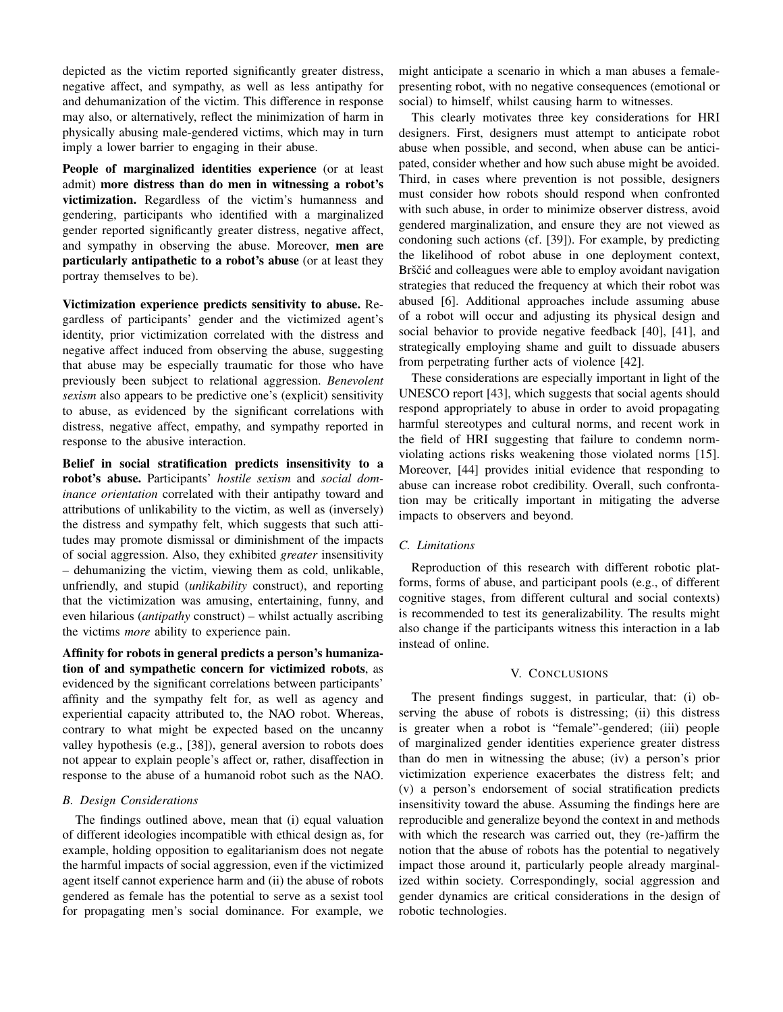depicted as the victim reported significantly greater distress, negative affect, and sympathy, as well as less antipathy for and dehumanization of the victim. This difference in response may also, or alternatively, reflect the minimization of harm in physically abusing male-gendered victims, which may in turn imply a lower barrier to engaging in their abuse.

People of marginalized identities experience (or at least admit) more distress than do men in witnessing a robot's victimization. Regardless of the victim's humanness and gendering, participants who identified with a marginalized gender reported significantly greater distress, negative affect, and sympathy in observing the abuse. Moreover, men are particularly antipathetic to a robot's abuse (or at least they portray themselves to be).

Victimization experience predicts sensitivity to abuse. Regardless of participants' gender and the victimized agent's identity, prior victimization correlated with the distress and negative affect induced from observing the abuse, suggesting that abuse may be especially traumatic for those who have previously been subject to relational aggression. *Benevolent sexism* also appears to be predictive one's (explicit) sensitivity to abuse, as evidenced by the significant correlations with distress, negative affect, empathy, and sympathy reported in response to the abusive interaction.

Belief in social stratification predicts insensitivity to a robot's abuse. Participants' *hostile sexism* and *social dominance orientation* correlated with their antipathy toward and attributions of unlikability to the victim, as well as (inversely) the distress and sympathy felt, which suggests that such attitudes may promote dismissal or diminishment of the impacts of social aggression. Also, they exhibited *greater* insensitivity – dehumanizing the victim, viewing them as cold, unlikable, unfriendly, and stupid (*unlikability* construct), and reporting that the victimization was amusing, entertaining, funny, and even hilarious (*antipathy* construct) – whilst actually ascribing the victims *more* ability to experience pain.

Affinity for robots in general predicts a person's humanization of and sympathetic concern for victimized robots, as evidenced by the significant correlations between participants' affinity and the sympathy felt for, as well as agency and experiential capacity attributed to, the NAO robot. Whereas, contrary to what might be expected based on the uncanny valley hypothesis (e.g., [38]), general aversion to robots does not appear to explain people's affect or, rather, disaffection in response to the abuse of a humanoid robot such as the NAO.

#### *B. Design Considerations*

The findings outlined above, mean that (i) equal valuation of different ideologies incompatible with ethical design as, for example, holding opposition to egalitarianism does not negate the harmful impacts of social aggression, even if the victimized agent itself cannot experience harm and (ii) the abuse of robots gendered as female has the potential to serve as a sexist tool for propagating men's social dominance. For example, we might anticipate a scenario in which a man abuses a femalepresenting robot, with no negative consequences (emotional or social) to himself, whilst causing harm to witnesses.

This clearly motivates three key considerations for HRI designers. First, designers must attempt to anticipate robot abuse when possible, and second, when abuse can be anticipated, consider whether and how such abuse might be avoided. Third, in cases where prevention is not possible, designers must consider how robots should respond when confronted with such abuse, in order to minimize observer distress, avoid gendered marginalization, and ensure they are not viewed as condoning such actions (cf. [39]). For example, by predicting the likelihood of robot abuse in one deployment context, Brščić and colleagues were able to employ avoidant navigation strategies that reduced the frequency at which their robot was abused [6]. Additional approaches include assuming abuse of a robot will occur and adjusting its physical design and social behavior to provide negative feedback [40], [41], and strategically employing shame and guilt to dissuade abusers from perpetrating further acts of violence [42].

These considerations are especially important in light of the UNESCO report [43], which suggests that social agents should respond appropriately to abuse in order to avoid propagating harmful stereotypes and cultural norms, and recent work in the field of HRI suggesting that failure to condemn normviolating actions risks weakening those violated norms [15]. Moreover, [44] provides initial evidence that responding to abuse can increase robot credibility. Overall, such confrontation may be critically important in mitigating the adverse impacts to observers and beyond.

#### *C. Limitations*

Reproduction of this research with different robotic platforms, forms of abuse, and participant pools (e.g., of different cognitive stages, from different cultural and social contexts) is recommended to test its generalizability. The results might also change if the participants witness this interaction in a lab instead of online.

#### V. CONCLUSIONS

The present findings suggest, in particular, that: (i) observing the abuse of robots is distressing; (ii) this distress is greater when a robot is "female"-gendered; (iii) people of marginalized gender identities experience greater distress than do men in witnessing the abuse; (iv) a person's prior victimization experience exacerbates the distress felt; and (v) a person's endorsement of social stratification predicts insensitivity toward the abuse. Assuming the findings here are reproducible and generalize beyond the context in and methods with which the research was carried out, they (re-)affirm the notion that the abuse of robots has the potential to negatively impact those around it, particularly people already marginalized within society. Correspondingly, social aggression and gender dynamics are critical considerations in the design of robotic technologies.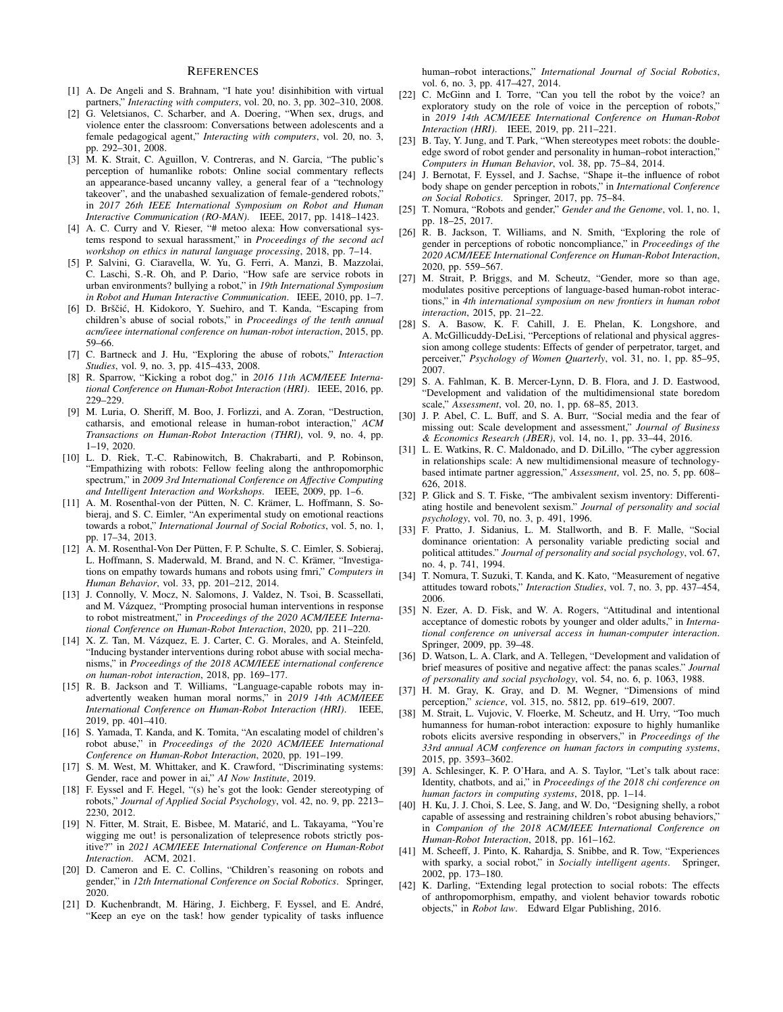#### **REFERENCES**

- [1] A. De Angeli and S. Brahnam, "I hate you! disinhibition with virtual partners," *Interacting with computers*, vol. 20, no. 3, pp. 302–310, 2008.
- [2] G. Veletsianos, C. Scharber, and A. Doering, "When sex, drugs, and violence enter the classroom: Conversations between adolescents and a female pedagogical agent," *Interacting with computers*, vol. 20, no. 3, pp. 292–301, 2008.
- [3] M. K. Strait, C. Aguillon, V. Contreras, and N. Garcia, "The public's perception of humanlike robots: Online social commentary reflects an appearance-based uncanny valley, a general fear of a "technology takeover", and the unabashed sexualization of female-gendered robots, in *2017 26th IEEE International Symposium on Robot and Human Interactive Communication (RO-MAN)*. IEEE, 2017, pp. 1418–1423.
- [4] A. C. Curry and V. Rieser, "# metoo alexa: How conversational systems respond to sexual harassment," in *Proceedings of the second acl workshop on ethics in natural language processing*, 2018, pp. 7–14.
- [5] P. Salvini, G. Ciaravella, W. Yu, G. Ferri, A. Manzi, B. Mazzolai, C. Laschi, S.-R. Oh, and P. Dario, "How safe are service robots in urban environments? bullying a robot," in *19th International Symposium in Robot and Human Interactive Communication*. IEEE, 2010, pp. 1–7.
- [6] D. Brščić, H. Kidokoro, Y. Suehiro, and T. Kanda, "Escaping from children's abuse of social robots," in *Proceedings of the tenth annual acm/ieee international conference on human-robot interaction*, 2015, pp. 59–66.
- [7] C. Bartneck and J. Hu, "Exploring the abuse of robots," *Interaction Studies*, vol. 9, no. 3, pp. 415–433, 2008.
- [8] R. Sparrow, "Kicking a robot dog," in *2016 11th ACM/IEEE International Conference on Human-Robot Interaction (HRI)*. IEEE, 2016, pp. 229–229.
- [9] M. Luria, O. Sheriff, M. Boo, J. Forlizzi, and A. Zoran, "Destruction, catharsis, and emotional release in human-robot interaction," *ACM Transactions on Human-Robot Interaction (THRI)*, vol. 9, no. 4, pp. 1–19, 2020.
- [10] L. D. Riek, T.-C. Rabinowitch, B. Chakrabarti, and P. Robinson, "Empathizing with robots: Fellow feeling along the anthropomorphic spectrum," in *2009 3rd International Conference on Affective Computing and Intelligent Interaction and Workshops*. IEEE, 2009, pp. 1–6.
- [11] A. M. Rosenthal-von der Pütten, N. C. Krämer, L. Hoffmann, S. Sobieraj, and S. C. Eimler, "An experimental study on emotional reactions towards a robot," *International Journal of Social Robotics*, vol. 5, no. 1, pp. 17–34, 2013.
- [12] A. M. Rosenthal-Von Der Pütten, F. P. Schulte, S. C. Eimler, S. Sobieraj, L. Hoffmann, S. Maderwald, M. Brand, and N. C. Krämer, "Investigations on empathy towards humans and robots using fmri," *Computers in Human Behavior*, vol. 33, pp. 201–212, 2014.
- [13] J. Connolly, V. Mocz, N. Salomons, J. Valdez, N. Tsoi, B. Scassellati, and M. Vázquez, "Prompting prosocial human interventions in response to robot mistreatment," in *Proceedings of the 2020 ACM/IEEE International Conference on Human-Robot Interaction*, 2020, pp. 211–220.
- [14] X. Z. Tan, M. Vázquez, E. J. Carter, C. G. Morales, and A. Steinfeld, "Inducing bystander interventions during robot abuse with social mechanisms," in *Proceedings of the 2018 ACM/IEEE international conference on human-robot interaction*, 2018, pp. 169–177.
- [15] R. B. Jackson and T. Williams, "Language-capable robots may inadvertently weaken human moral norms," in *2019 14th ACM/IEEE International Conference on Human-Robot Interaction (HRI)*. IEEE, 2019, pp. 401–410.
- [16] S. Yamada, T. Kanda, and K. Tomita, "An escalating model of children's robot abuse," in *Proceedings of the 2020 ACM/IEEE International Conference on Human-Robot Interaction*, 2020, pp. 191–199.
- [17] S. M. West, M. Whittaker, and K. Crawford, "Discriminating systems: Gender, race and power in ai," *AI Now Institute*, 2019.
- [18] F. Eyssel and F. Hegel, "(s) he's got the look: Gender stereotyping of robots," *Journal of Applied Social Psychology*, vol. 42, no. 9, pp. 2213– 2230, 2012.
- [19] N. Fitter, M. Strait, E. Bisbee, M. Matarić, and L. Takayama, "You're wigging me out! is personalization of telepresence robots strictly positive?" in *2021 ACM/IEEE International Conference on Human-Robot Interaction*. ACM, 2021.
- [20] D. Cameron and E. C. Collins, "Children's reasoning on robots and gender," in *12th International Conference on Social Robotics*. Springer, 2020.
- [21] D. Kuchenbrandt, M. Häring, J. Eichberg, F. Eyssel, and E. André, "Keep an eye on the task! how gender typicality of tasks influence

human–robot interactions," *International Journal of Social Robotics*, vol. 6, no. 3, pp. 417–427, 2014.

- [22] C. McGinn and I. Torre, "Can you tell the robot by the voice? an exploratory study on the role of voice in the perception of robots," in *2019 14th ACM/IEEE International Conference on Human-Robot Interaction (HRI)*. IEEE, 2019, pp. 211–221.
- [23] B. Tay, Y. Jung, and T. Park, "When stereotypes meet robots: the doubleedge sword of robot gender and personality in human–robot interaction," *Computers in Human Behavior*, vol. 38, pp. 75–84, 2014.
- [24] J. Bernotat, F. Eyssel, and J. Sachse, "Shape it–the influence of robot body shape on gender perception in robots," in *International Conference on Social Robotics*. Springer, 2017, pp. 75–84.
- [25] T. Nomura, "Robots and gender," *Gender and the Genome*, vol. 1, no. 1, pp. 18–25, 2017.
- [26] R. B. Jackson, T. Williams, and N. Smith, "Exploring the role of gender in perceptions of robotic noncompliance," in *Proceedings of the 2020 ACM/IEEE International Conference on Human-Robot Interaction*, 2020, pp. 559–567.
- [27] M. Strait, P. Briggs, and M. Scheutz, "Gender, more so than age, modulates positive perceptions of language-based human-robot interactions," in *4th international symposium on new frontiers in human robot interaction*, 2015, pp. 21–22.
- [28] S. A. Basow, K. F. Cahill, J. E. Phelan, K. Longshore, and A. McGillicuddy-DeLisi, "Perceptions of relational and physical aggression among college students: Effects of gender of perpetrator, target, and perceiver," *Psychology of Women Quarterly*, vol. 31, no. 1, pp. 85–95, 2007.
- [29] S. A. Fahlman, K. B. Mercer-Lynn, D. B. Flora, and J. D. Eastwood, "Development and validation of the multidimensional state boredom scale," *Assessment*, vol. 20, no. 1, pp. 68–85, 2013.
- [30] J. P. Abel, C. L. Buff, and S. A. Burr, "Social media and the fear of missing out: Scale development and assessment," *Journal of Business & Economics Research (JBER)*, vol. 14, no. 1, pp. 33–44, 2016.
- [31] L. E. Watkins, R. C. Maldonado, and D. DiLillo, "The cyber aggression in relationships scale: A new multidimensional measure of technologybased intimate partner aggression," *Assessment*, vol. 25, no. 5, pp. 608– 626, 2018.
- [32] P. Glick and S. T. Fiske, "The ambivalent sexism inventory: Differentiating hostile and benevolent sexism." *Journal of personality and social psychology*, vol. 70, no. 3, p. 491, 1996.
- [33] F. Pratto, J. Sidanius, L. M. Stallworth, and B. F. Malle, "Social dominance orientation: A personality variable predicting social and political attitudes." *Journal of personality and social psychology*, vol. 67, no. 4, p. 741, 1994.
- [34] T. Nomura, T. Suzuki, T. Kanda, and K. Kato, "Measurement of negative attitudes toward robots," *Interaction Studies*, vol. 7, no. 3, pp. 437–454, 2006.
- [35] N. Ezer, A. D. Fisk, and W. A. Rogers, "Attitudinal and intentional acceptance of domestic robots by younger and older adults," in *International conference on universal access in human-computer interaction*. Springer, 2009, pp. 39–48.
- [36] D. Watson, L. A. Clark, and A. Tellegen, "Development and validation of brief measures of positive and negative affect: the panas scales." *Journal of personality and social psychology*, vol. 54, no. 6, p. 1063, 1988.
- [37] H. M. Gray, K. Gray, and D. M. Wegner, "Dimensions of mind perception," *science*, vol. 315, no. 5812, pp. 619–619, 2007.
- [38] M. Strait, L. Vujovic, V. Floerke, M. Scheutz, and H. Urry, "Too much humanness for human-robot interaction: exposure to highly humanlike robots elicits aversive responding in observers," in *Proceedings of the 33rd annual ACM conference on human factors in computing systems*, 2015, pp. 3593–3602.
- [39] A. Schlesinger, K. P. O'Hara, and A. S. Taylor, "Let's talk about race: Identity, chatbots, and ai," in *Proceedings of the 2018 chi conference on human factors in computing systems*, 2018, pp. 1–14.
- [40] H. Ku, J. J. Choi, S. Lee, S. Jang, and W. Do, "Designing shelly, a robot capable of assessing and restraining children's robot abusing behaviors," in *Companion of the 2018 ACM/IEEE International Conference on Human-Robot Interaction*, 2018, pp. 161–162.
- [41] M. Scheeff, J. Pinto, K. Rahardja, S. Snibbe, and R. Tow, "Experiences with sparky, a social robot," in *Socially intelligent agents*. Springer, 2002, pp. 173–180.
- [42] K. Darling, "Extending legal protection to social robots: The effects of anthropomorphism, empathy, and violent behavior towards robotic objects," in *Robot law*. Edward Elgar Publishing, 2016.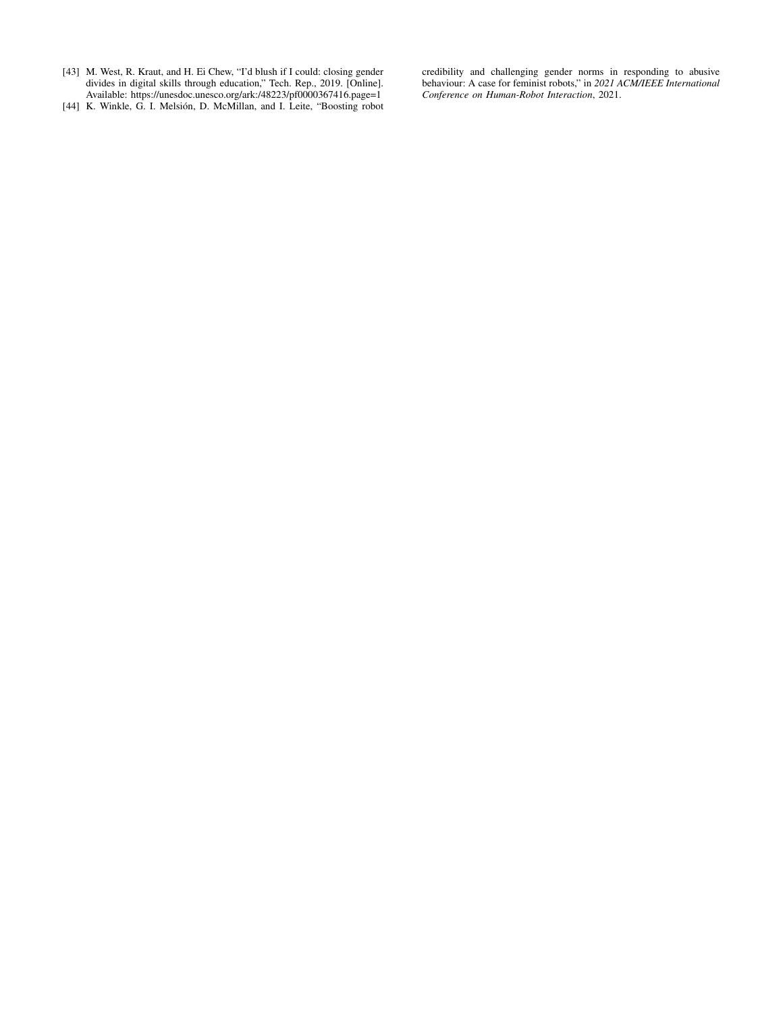[43] M. West, R. Kraut, and H. Ei Chew, "I'd blush if I could: closing gender divides in digital skills through education," Tech. Rep., 2019. [Online]. Available: https://unesdoc.unesco.org/ark:/48223/pf0000367416.page=1

credibility and challenging gender norms in responding to abusive behaviour: A case for feminist robots," in *2021 ACM/IEEE International Conference on Human-Robot Interaction*, 2021.

[44] K. Winkle, G. I. Melsión, D. McMillan, and I. Leite, "Boosting robot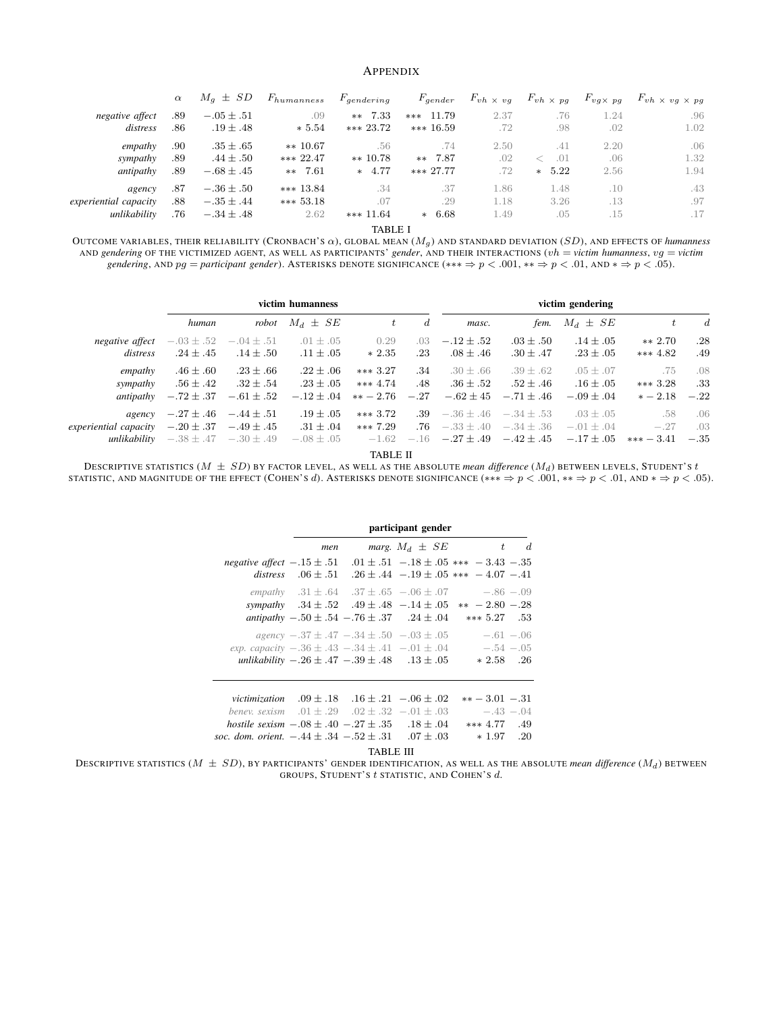#### APPENDIX

|                       | $\alpha$ | $M_q \pm SD$   | $F_{humanness}$ | $F_{\text{gendering}}$ | $F_{gender}$ | $F_{vh} \times v g$ | $F_{vh} \times pg$ | $F_{vg \times pg}$ | $F_{vh} \times v g \times p g$ |
|-----------------------|----------|----------------|-----------------|------------------------|--------------|---------------------|--------------------|--------------------|--------------------------------|
| negative affect       | .89      | $-.05 \pm .51$ | .09             | $**$ 7.33              | *** $11.79$  | 2.37                | .76                | 1.24               | .96                            |
| distress              | .86      | $.19 \pm .48$  | $* 5.54$        | $*** 23.72$            | $*** 16.59$  | .72                 | .98                | .02                | 1.02                           |
| empathy               | .90      | $.35 \pm .65$  | $** 10.67$      | .56                    | .74          | 2.50                | .41                | 2.20               | .06                            |
| sympathy              | .89      | $.44 \pm .50$  | *** 22.47       | $** 10.78$             | ** 7.87      | .02                 | .01                | .06                | 1.32                           |
| antipathy             | .89      | $-.68 \pm .45$ | $***$ 7.61      | $* 4.77$               | $*** 27.77$  | .72                 | 5.22<br>$\ast$     | 2.56               | 1.94                           |
| agency                | .87      | $-.36 \pm .50$ | *** $13.84$     | .34                    | .37          | 1.86                | 1.48               | .10                | .43                            |
| experiential capacity | .88      | $-.35 \pm .44$ | $*** 53.18$     | .07                    | .29          | 1.18                | 3.26               | .13                | .97                            |
| unlikability          | .76      | $-.34 \pm .48$ | 2.62            | *** $11.64$            | $*$ 6.68     | 1.49                | .05                | .15                | .17                            |

TABLE I

OUTCOME VARIABLES, THEIR RELIABILITY (CRONBACH'S α), GLOBAL MEAN (Mg ) AND STANDARD DEVIATION (SD), AND EFFECTS OF *humanness* AND *gendering* OF THE VICTIMIZED AGENT, AS WELL AS PARTICIPANTS' *gender*, AND THEIR INTERACTIONS (vh = *victim humanness*, vg = *victim gendering*, AND pg = *participant gender*). ASTERISKS DENOTE SIGNIFICANCE (\*\*\* ⇒ p < .001, \*\* ⇒ p < .01, AND \* ⇒ p < .05).

|                                                              |                                                  |                                                   | victim humanness                                 |                                        | victim gendering     |                                                           |                                                  |                                                   |                                |                      |
|--------------------------------------------------------------|--------------------------------------------------|---------------------------------------------------|--------------------------------------------------|----------------------------------------|----------------------|-----------------------------------------------------------|--------------------------------------------------|---------------------------------------------------|--------------------------------|----------------------|
|                                                              | human                                            | robot                                             | $M_d \pm SE$                                     |                                        | d                    | masc.                                                     | fem.                                             | $M_d \pm SE$                                      | t                              | $\boldsymbol{d}$     |
| negative affect<br>distress                                  | $-.03 \pm .52$ $-.04 \pm .51$<br>$.24 \pm .45$   | $.14 \pm .50$                                     | $.01 \pm .05$<br>$.11 \pm .05$                   | 0.29<br>$*2.35$                        | $.03 -$<br>$.23\,$   | $-.12 \pm .52$<br>$.08 \pm .46$                           | $.03 + .50$<br>$.30 \pm .47$                     | $.14 \pm .05$<br>$.23 \pm .05$                    | $** 2.70$<br>*** $4.82$        | .28<br>.49           |
| empathy<br>sympathy<br>antipathy                             | $.46 \pm .60$<br>$.56 \pm .42$<br>$-.72 \pm .37$ | $.23 \pm .66$<br>$.32 \pm .54$<br>$-.61 \pm .52$  | $.22 \pm .06$<br>$.23 \pm .05$<br>$-.12 \pm .04$ | $***3.27$<br>*** $4.74$<br>$** - 2.76$ | .34<br>.48<br>$-.27$ | $.30 \pm .66$<br>$.36 \pm .52$<br>$-.62 \pm 45$           | $.39 \pm .62$<br>$.52 \pm .46$<br>$-.71 \pm .46$ | $.05 \pm .07$<br>$.16 \pm .05$<br>$-.09 \pm .04$  | .75<br>$***3.28$<br>$* - 2.18$ | .08<br>.33<br>$-.22$ |
| agency<br>experiential capacity $-.20 \pm .37 - .49 \pm .45$ | $-.27 \pm .46$ $-.44 \pm .51$                    | <i>unlikability</i> $-.38 \pm .47$ $-.30 \pm .49$ | $.19\pm.05$<br>$.31 \pm .04$<br>$-.08 \pm .05$   | $***3.72$<br>$***7.29$<br>$-1.62$      | .76                  | $.39 - .36 \pm .46 - .34 \pm .53$<br>$-.16 - .27 \pm .49$ | $-.33 \pm .40$ $-.34 \pm .36$<br>$-.42\pm.45$    | $.03 \pm .05$<br>$-.01 \pm .04$<br>$-.17 \pm .05$ | .58<br>$-.27$<br>$*** - 3.41$  | .06<br>.03<br>$-.35$ |

TABLE II

DESCRIPTIVE STATISTICS ( $M\,\pm\,SD$ ) BY FACTOR LEVEL, AS WELL AS THE ABSOLUTE *mean difference* ( $M_d$ ) between levels, Student's t STATISTIC, AND MAGNITUDE OF THE EFFECT (COHEN'S  $d$ ). ASTERISKS DENOTE SIGNIFICANCE (\*\*\*  $\Rightarrow p < .001$ , \*\*  $\Rightarrow p < .01$ , and \*  $\Rightarrow p < .05$ ).

|                                                                                                                                                                                                                                                                 |     | participant gender |                                                                                                                                                                                                                        |                                                     |       |  |  |  |
|-----------------------------------------------------------------------------------------------------------------------------------------------------------------------------------------------------------------------------------------------------------------|-----|--------------------|------------------------------------------------------------------------------------------------------------------------------------------------------------------------------------------------------------------------|-----------------------------------------------------|-------|--|--|--|
|                                                                                                                                                                                                                                                                 | men |                    | marg. $M_d \pm SE$                                                                                                                                                                                                     |                                                     | $t$ d |  |  |  |
| negative affect $-.15 \pm .51$ $01 \pm .51$ $-.18 \pm .05$ *** $-3.43$ $-.35$                                                                                                                                                                                   |     |                    | distress $.06 \pm .51$ $.26 \pm .44$ $-.19 \pm .05$ *** $-4.07$ $-.41$                                                                                                                                                 |                                                     |       |  |  |  |
|                                                                                                                                                                                                                                                                 |     |                    | empathy $.31 \pm .64$ $.37 \pm .65$ $-.06 \pm .07$ $-.86$ $-.09$<br>sympathy $.34 \pm .52$ $.49 \pm .48$ $-.14 \pm .05$ $**$ $-2.80$ $-.28$<br>antipathy $-0.50 \pm 0.54 - 0.76 \pm 0.37$ . $24 \pm 0.04$ *** 5.27 .53 |                                                     |       |  |  |  |
| exp. capacity $-.36 \pm .43 - .34 \pm .41 - .01 \pm .04 - .54 - .05$                                                                                                                                                                                            |     |                    | agency $-.37 \pm .47 - .34 \pm .50 - .03 \pm .05$ $-.61 - .06$<br>unlikability $-.26 \pm .47 - .39 \pm .48$ $.13 \pm .05$                                                                                              | $*2.58$ .26                                         |       |  |  |  |
| victimization $.09 \pm .18$ $.16 \pm .21$ $-.06 \pm .02$<br>benev. sexism $.01 \pm .29$ $.02 \pm .32$ $-.01 \pm .03$ $-.43$ $-.04$<br>hostile sexism $-.08 \pm .40 - .27 \pm .35$ .18 $\pm .04$<br>soc. dom. orient. $-.44 \pm .34 - .52 \pm .31$ . 07 $\pm$ 03 |     |                    |                                                                                                                                                                                                                        | $*** - 3.01 - .31$<br>*** $4.77$ .49<br>$*1.97$ .20 |       |  |  |  |

TABLE III

DESCRIPTIVE STATISTICS  $(M \pm SD)$ , BY PARTICIPANTS' GENDER IDENTIFICATION, AS WELL AS THE ABSOLUTE *mean difference*  $(M_d)$  between GROUPS, STUDENT'S t STATISTIC, AND COHEN'S d.